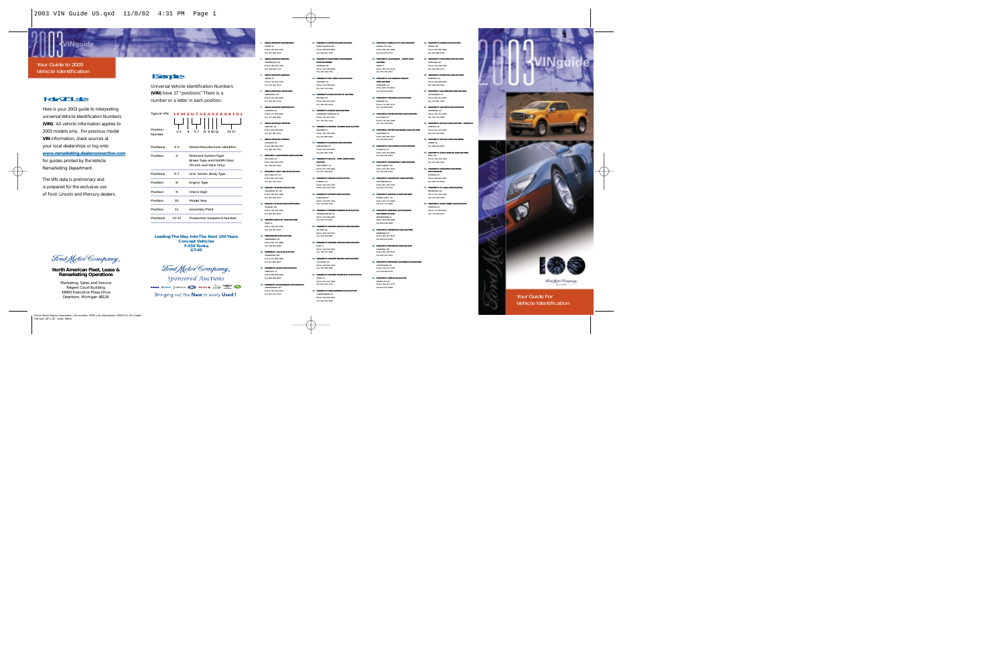## ViNquide

### Your Guide to 2003Vehicle Identification

# How To Use:

Here is your 2003 guide to interpreting universal Vehicle Identification Numbers**(VIN)**. All vehicle information applies to 2003 models only. For previous model **VIN** information, check sources at your local dealerships or log onto **www.remarketing.dealerconnection.com** for guides printed by the Vehicle Remarketing Department.

The VIN data is preliminary and is prepared for the exclusive use of Ford, Lincoln and Mercury dealers.

Ford Motor Company

### **North American Fleet, Lease & Remarketing Operations**

Marketing, Sales and Service Regent Court Building 16800 Executive Plaza DriveDearborn, Michigan 48126

# Example:

Universal Vehicle Identification Numbers**(VIN)** have 17 "positions." There is a number or a letter in each position.

| Typical VIN 1 F M Z U 7 3 E 0 3 Z A 6 9 1 0 1 |         |                |   |  |  |       |  |  |
|-----------------------------------------------|---------|----------------|---|--|--|-------|--|--|
|                                               |         | -   42       1 |   |  |  |       |  |  |
| Position<br>Number                            | $1 - 3$ | $5 - 7$        | g |  |  | 12-17 |  |  |

| Positions | $1-3$     | World Manufacturer Identifier                                                       |
|-----------|-----------|-------------------------------------------------------------------------------------|
| Position  | 4         | <b>Restraint System Type</b><br>Brake Type and GVWR Class<br>(Trucks and Vans Only) |
| Positions | $5 - 7$   | Line, Series, Body Type                                                             |
| Position  | 8         | Engine Type                                                                         |
| Position  | 9         | <b>Check Digit</b>                                                                  |
| Position  | 10        | Model Year                                                                          |
| Position  | 11        | <b>Assembly Plant</b>                                                               |
| Positions | $12 - 17$ | <b>Production Sequence Number</b>                                                   |
|           |           |                                                                                     |

**Leading The Way Into The Next 100 Years Concept Vehicles F-350 TonkaGT-40**

Ford Motor Company **Sponsored Auctions** 

Bringing out the New in every Used!

 **ADESA AUCTIONS BIRMINGHAM**MOODY, AL Phone: 205-640-1010Fax: 205-640-1024

**2. ADESA AUCTIONS BOSTON**FRAMINGHAM, MA Phone: 508-626-7000Fax: 508-626-7111

**3. ADESA AUCTIONS BUFFALO**AKRON, NY Phone: 716-542-3300

Fax: 716-542-3574**4. ADESA AUCTIONS CLEVELAND**

NORTHFIELD, OH Phone: 330-467-8280Fax: 330-467-2278

**5. ADESA AUCTIONS INDIANAPOLIS**PLANFIELD, IN Phone: 317-838-8000Fax: 317-838-8081

**6. ADESA AUCTIONS MEMPHIS**MEMPHIS, TN Phone: 901-365-6300Fax: 901-363-3127

**7. ADESA AUCTIONS PHOENIX**CHANDLER, AZ Phone: 480-961-1161Fax: 480-785-7403

**8. BRASHER'S SACRAMENTO AUTO AUCTION**RIO LINDA, CA Phone: 916-991-5555Fax: 916-991-5445

**9. BRASHER'S SALT LAKE AUTO AUCTION**SALT LAKE CITY UT Phone: 801-322-1234Fax: 801-332-1315

**10. DEALER'S AUTO AUCTION OF OKC**OKLAHOMA CITY, OK Phone: 405-947-2886Fax: 405-942-8715

> **11. DEALER'S AUTO AUCTION NORTHWEST**SPOKANE, WA

 Phone: 509-244-4500Fax: 509-244-8244

**12. GREATER QUAD CITY AUTO AUCTION**MILAN, IL Phone: 309-787-6300

Fax: 309-787-4541**13. GREENSBORO AUTO AUCTION** GREENSBORO, NC

> Phone: 800-772-9898 Fax: 336-854-2689

**14. MANHEIM'S 166 AUTO AUCTION**SPRINGFIELD, MO Phone: 417-882-1666Fax: 417-882-0811

**15. MANHEIM'S ALOHA AUTO AUCTION**HONOLULU, HI Phone: 808-840-8900 Fax: 808-840-8959

**16. MANHEIM'S ALBUQUERQUE AUTO AUCTION** ALBUQUERQUE, NM Phone: 505-242-9191 Fax: 505-247-7415

**33. MANHEIM'S KANSAS CITY AUTO AUCTION**KANSAS CITY, MO Phone: 816-452-4084Fax: 816-459-7711

**18. MANHEIM'S BALTIMORE-WASHINGTON 34. MANHEIM'S LAUDERDALE - MIAMI AUTO AUCTION** DAVIE, FL Phone: 954-791-3520Fax: 954-791-3522

**19. MANHEIM'S BAY CITIES AUTO AUCTION35. MANHEIM'S LOS ANGELES DEALER** 

**20. MANHEIM'S AUTO AUCTION OF BILLINGS**

**17. MANHEIM'S AMERICAN AUTO AUCTION**NORTH DIGHTON, MA Phone: 508-823-6600Fax: 508-821-7745

**AUTO EXCHANGE**ELKRIDGE, MD Phone: 410-796-8899Fax: 410-799-3731

HAYWARD, CA Phone: 510-786-4500Fax: 510-731-2360

BILLINGS, MT Phone: 406-252-6332Fax: 406-252-8126**21. MANHEIM'S BUTLER AUTO AUCTION**CRANBERRY TOWNSHIP PA Phone: 724-452-5555Fax: 724-452-1310

ORLANDO, FL Phone: 407-438-1000Fax: 407-856-9653

DARLINGTON, SC Phone: 843-393-2861Fax: 843-395-1616

**AUCTION** FORT WORTH, TX Phone: 817-399-4000Fax: 817-399-4257

AURORA, CO Phone: 303-343-3443Phone: 303-343-2318

CARLETON, MI Phone: 734-285-7300 Fax: 734-284-3322

FREDERICKSBURG, VA Phone: 540-368-3400Fax: 540-373-5021

ATLANTA, GA Phone: 404-349-5555Fax: 404-349-9951**29. MANHEIM'S GREATER CHICAGO AUTO AUCTION**

ALSIP, IL Phone: 708-597-3600 Fax: 708-597-1692**30. MANHEIM'S GREATER NEVADA AUTO AUCTION**LAS VEGAS, NV Phone: 702-361-1000Fax: 702-269-4082**31. MANHEIM'S GREATER TAMPA BAY AUTO AUCTION**

TAMPA, FL Phone: 813-247-1666Fax: 813-247-1714 **32. MANHEIM'S HARRISONBURG AUTO AUCTION**HARRISONBURG, VA Phone: 540-434-5991 Fax: 540-434-5909

**37. MANHEIM'S METRO DETROIT AUTO AUCTION**FLAT ROCK, MI Phone: 734-783-3799Fax: 734-379-2528

**AUTO AUCTION** ROSEMEAD, CA Phone: 626-573-8001Fax: 626-307-8283**36. MANHEIM'S MANHEIM AUTO AUCTION**MANHEIM, PA Phone: 717-665-3571Fax: 717-665-9265

**22. MANHEIM'S CENTRAL FLORIDA AUTO AUCTION38. MANHEIM'S METRO MILWAUKEE AUTO AUCTION**CALEDONIA, WI Phone: 800-662-2947Fax: 262-824-2578

**23. MANHEIM'S CLANTONS AUTO AUCTION39. MANHEIM'S MID-AMERICA AUTO AUCTION**LOUISVILLE, KY Phone: 502-454-6666Fax: 502-456-2919

```
24. MANHEIM'S DALLAS - FORT WORTH AUTO 
                                                        40. MANHEIM'S MINNEAPOLIS AUTO AUCTIONMAPLE GROVE, MN
Phone: 763-425-7653Fax: 763-493-0310
```
**25. MANHEIM'S DENVER AUTO AUCTION41. MANHEIM'S MISSISSIPPI AUTO AUCTION**HATTIESBURG, MSPhone: 601-268-7550

**26. MANHEIM'S DETROIT AUTO AUCTION42. MANHEIM'S NASHVILLE AUTO AUCTION**MOUNT JULIET, TN Phone: 615-773-3800 Fax: 615-773-3805

**27. MANHEIM'S FREDERICKSBURG AUTO AUCTION43.MANHEIM'S NATIONAL AUTO DEALERS EXCHANGE (N.A.D.E)** BORDENTOWN, NJ Phone: 609-298-3400Fax: 609-298-4489

**28. MANHEIM'S GEORGIA DEALERS AUTO AUCTION**NEWBURGH, NY

CLIFTON PARK, NY Phone: 518-371-7500Fax: 518-383-0278

**47. MANHEIM'S OHIO AUTO AUCTION** GROVE CITY, OH Phone: 614-871-2271 Fax: 614-871-6894

**48. MANHEIM'S OMAHA AUTO AUCTION**OMAHA, NE Phone: 402-896-8000Fax: 402-896-6758**49. MANHEIM'S PORTLAND AUTO AUCTION**

PORTLAND, OR Phone: 503-286-3000Fax: 503-286-7073

**50. MANHEIM'S RIVERSIDE AUTO AUCTION**  RIVERSIDE, CA Phone: 909-689-6000Fax: 909-689-5567

**51. MANHEIM'S SAN ANTONIO AUTO AUCTION**SAN ANTONIO, TX Phone: 800-874-2897Fax: 210-661-3197

**52. MANHEIM'S SAN DIEGO AUTO AUCTION**OCEANSIDE, CAPhone: 760-754-3600

**53. MANHEIM'S SKYLINE AUTO AUCTION - FAIRFIELD**FAIRFIELD, NJ Phone: 973-227-0100

**54. MANHEIM'S SKYLINE AUTO EXCHANGE**LINDEN, NJ Fax: 908-679-8035

**55. MANHEIM'S SOUTH SEATTLE AUTO AUCTION**KENT, WA Phone: 206-762-1600Fax: 253-395-3342

 Phone: 909-822-2261Fax: 909-335-8538

> **57. MANHEIM'S ST. LOUIS AUTO AUCTION**  BRIDGETON, MOPhone: 314-739-1300

HOUSTON, TX

```
44. MANHEIM'S NEWBURGH AUTO AUCTIONPhone: 845-567-8550Fax: 845-567-8356
```
Fax: 601-579-7202

**45. MANHEIM'S NORTHSTAR AUTO AUCTION**SHAKOPEE, MNPhone: 952-445-5544

**46. MANHEIM'S NORTHWAY EXCHANGE AUTO AUCTION**

Fax: 760-754-3690Fax: 973-244-0241

**56. MANHEIM'S SOUTHERN CALIFORNIAAUTO AUCTION**FONTANA, CA

**58. MANHEIM'S TEXAS HOBBY AUTO AUCTION** 

 Phone: 713-649-8233Fax: 713-640-8312

Fax: 952-445-7652

Fax: 314-298-2158



**BETRIER**